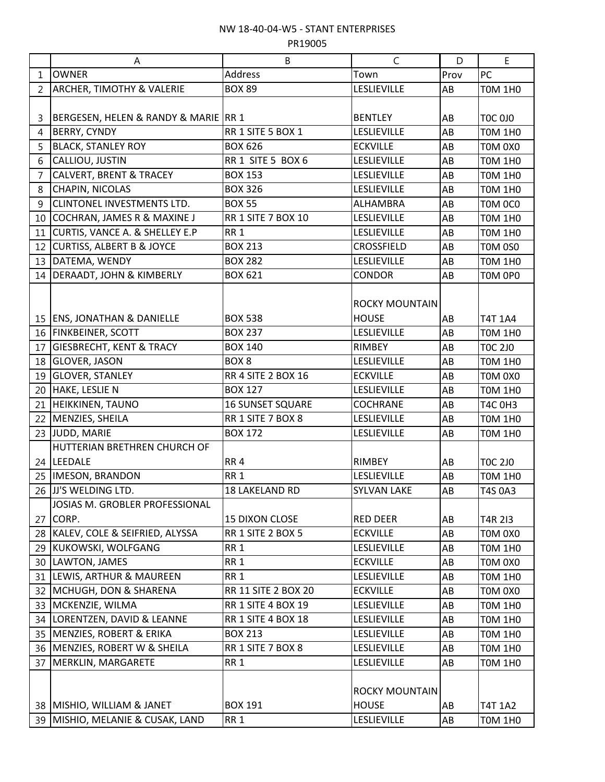## NW 18-40-04-W5 - STANT ENTERPRISES

PR19005

|                | A                                      | B                         | C                     | D         | E              |
|----------------|----------------------------------------|---------------------------|-----------------------|-----------|----------------|
| $\mathbf{1}$   | <b>OWNER</b>                           | <b>Address</b>            | Town                  | Prov      | PC             |
| 2              | <b>ARCHER, TIMOTHY &amp; VALERIE</b>   | <b>BOX 89</b>             | <b>LESLIEVILLE</b>    | AB        | <b>TOM 1H0</b> |
|                |                                        |                           |                       |           |                |
| 3              | BERGESEN, HELEN & RANDY & MARIE   RR 1 |                           | <b>BENTLEY</b>        | AB        | <b>TOC 0J0</b> |
| 4              | BERRY, CYNDY                           | RR 1 SITE 5 BOX 1         | <b>LESLIEVILLE</b>    | AB        | <b>TOM 1HO</b> |
| 5              | <b>BLACK, STANLEY ROY</b>              | <b>BOX 626</b>            | <b>ECKVILLE</b>       | AB        | TOM 0X0        |
| 6              | CALLIOU, JUSTIN                        | RR 1 SITE 5 BOX 6         | <b>LESLIEVILLE</b>    | AB        | <b>TOM 1H0</b> |
| $\overline{7}$ | <b>CALVERT, BRENT &amp; TRACEY</b>     | <b>BOX 153</b>            | <b>LESLIEVILLE</b>    | AB        | <b>TOM 1H0</b> |
| 8              | CHAPIN, NICOLAS                        | <b>BOX 326</b>            | <b>LESLIEVILLE</b>    | AB        | <b>T0M 1H0</b> |
| 9              | <b>CLINTONEL INVESTMENTS LTD.</b>      | <b>BOX 55</b>             | <b>ALHAMBRA</b>       | AB        | TOM OCO        |
| 10             | COCHRAN, JAMES R & MAXINE J            | <b>RR 1 SITE 7 BOX 10</b> | <b>LESLIEVILLE</b>    | AB        | <b>TOM 1HO</b> |
| 11             | CURTIS, VANCE A. & SHELLEY E.P         | <b>RR1</b>                | <b>LESLIEVILLE</b>    | AB        | <b>TOM 1HO</b> |
| 12             | <b>CURTISS, ALBERT B &amp; JOYCE</b>   | <b>BOX 213</b>            | <b>CROSSFIELD</b>     | AB        | <b>TOM 0S0</b> |
| 13             | DATEMA, WENDY                          | <b>BOX 282</b>            | <b>LESLIEVILLE</b>    | AB        | <b>TOM 1H0</b> |
|                | 14 DERAADT, JOHN & KIMBERLY            | <b>BOX 621</b>            | <b>CONDOR</b>         | AB        | TOM OPO        |
|                |                                        |                           | <b>ROCKY MOUNTAIN</b> |           |                |
|                | 15   ENS, JONATHAN & DANIELLE          | <b>BOX 538</b>            | <b>HOUSE</b>          | AB        | <b>T4T 1A4</b> |
|                | 16 FINKBEINER, SCOTT                   | <b>BOX 237</b>            | <b>LESLIEVILLE</b>    | AB        | <b>T0M 1H0</b> |
| 17             | <b>GIESBRECHT, KENT &amp; TRACY</b>    | <b>BOX 140</b>            | <b>RIMBEY</b>         | AB        | <b>TOC 2J0</b> |
| 18             | <b>GLOVER, JASON</b>                   | BOX <sub>8</sub>          | <b>LESLIEVILLE</b>    | AB        | <b>T0M 1H0</b> |
| 19             | <b>GLOVER, STANLEY</b>                 | <b>RR 4 SITE 2 BOX 16</b> | <b>ECKVILLE</b>       | AB        | TOM 0X0        |
| 20             | HAKE, LESLIE N                         | <b>BOX 127</b>            | <b>LESLIEVILLE</b>    | AB        | <b>T0M 1H0</b> |
| 21             | <b>HEIKKINEN, TAUNO</b>                | <b>16 SUNSET SQUARE</b>   | <b>COCHRANE</b>       | AB        | <b>T4C 0H3</b> |
| 22             | MENZIES, SHEILA                        | RR 1 SITE 7 BOX 8         | <b>LESLIEVILLE</b>    | AB        | <b>T0M 1H0</b> |
|                | 23 JUDD, MARIE                         | <b>BOX 172</b>            | <b>LESLIEVILLE</b>    | AB        | <b>TOM 1HO</b> |
|                | HUTTERIAN BRETHREN CHURCH OF           |                           |                       |           |                |
|                | 24 LEEDALE                             | RR4                       | <b>RIMBEY</b>         | AB        | <b>TOC 2J0</b> |
|                | 25   IMESON, BRANDON                   | RR <sub>1</sub>           | <b>LESLIEVILLE</b>    | AB        | <b>TOM 1HO</b> |
|                | 26 JJ'S WELDING LTD.                   | <b>18 LAKELAND RD</b>     | <b>SYLVAN LAKE</b>    | <b>AB</b> | T4S 0A3        |
|                | JOSIAS M. GROBLER PROFESSIONAL         |                           |                       |           |                |
| 27             | CORP.                                  | <b>15 DIXON CLOSE</b>     | <b>RED DEER</b>       | AB        | T4R 213        |
| 28             | KALEV, COLE & SEIFRIED, ALYSSA         | RR 1 SITE 2 BOX 5         | <b>ECKVILLE</b>       | AB        | TOM 0X0        |
| 29             | KUKOWSKI, WOLFGANG                     | <b>RR1</b>                | <b>LESLIEVILLE</b>    | AB        | <b>TOM 1H0</b> |
| 30             | LAWTON, JAMES                          | <b>RR1</b>                | <b>ECKVILLE</b>       | AB        | TOM 0X0        |
|                | 31 LEWIS, ARTHUR & MAUREEN             | RR <sub>1</sub>           | <b>LESLIEVILLE</b>    | AB        | <b>TOM 1H0</b> |
| 32             | MCHUGH, DON & SHARENA                  | RR 11 SITE 2 BOX 20       | <b>ECKVILLE</b>       | AB        | TOM 0X0        |
| 33             | MCKENZIE, WILMA                        | <b>RR 1 SITE 4 BOX 19</b> | <b>LESLIEVILLE</b>    | AB        | <b>TOM 1HO</b> |
| 34             | LORENTZEN, DAVID & LEANNE              | <b>RR 1 SITE 4 BOX 18</b> | <b>LESLIEVILLE</b>    | AB        | <b>TOM 1H0</b> |
| 35             | MENZIES, ROBERT & ERIKA                | <b>BOX 213</b>            | <b>LESLIEVILLE</b>    | AB        | <b>TOM 1H0</b> |
|                | 36 MENZIES, ROBERT W & SHEILA          | RR 1 SITE 7 BOX 8         | <b>LESLIEVILLE</b>    | AB        | <b>TOM 1H0</b> |
| 37             | <b>MERKLIN, MARGARETE</b>              | <b>RR1</b>                | <b>LESLIEVILLE</b>    | AB        | <b>TOM 1HO</b> |
|                |                                        |                           |                       |           |                |
|                |                                        |                           | <b>ROCKY MOUNTAIN</b> |           |                |
|                | 38 MISHIO, WILLIAM & JANET             | <b>BOX 191</b>            | <b>HOUSE</b>          | AB        | T4T 1A2        |
|                | 39 MISHIO, MELANIE & CUSAK, LAND       | RR <sub>1</sub>           | <b>LESLIEVILLE</b>    | AB        | <b>TOM 1H0</b> |